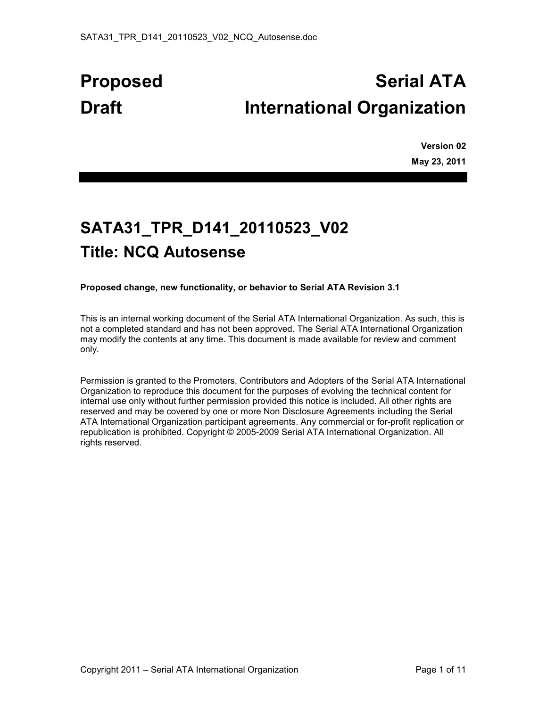# **Proposed Serial ATA Draft International Organization**

**Version 02 May 23, 2011** 

## **SATA31\_TPR\_D141\_20110523\_V02 Title: NCQ Autosense**

**Proposed change, new functionality, or behavior to Serial ATA Revision 3.1** 

This is an internal working document of the Serial ATA International Organization. As such, this is not a completed standard and has not been approved. The Serial ATA International Organization may modify the contents at any time. This document is made available for review and comment only.

Permission is granted to the Promoters, Contributors and Adopters of the Serial ATA International Organization to reproduce this document for the purposes of evolving the technical content for internal use only without further permission provided this notice is included. All other rights are reserved and may be covered by one or more Non Disclosure Agreements including the Serial ATA International Organization participant agreements. Any commercial or for-profit replication or republication is prohibited. Copyright © 2005-2009 Serial ATA International Organization. All rights reserved.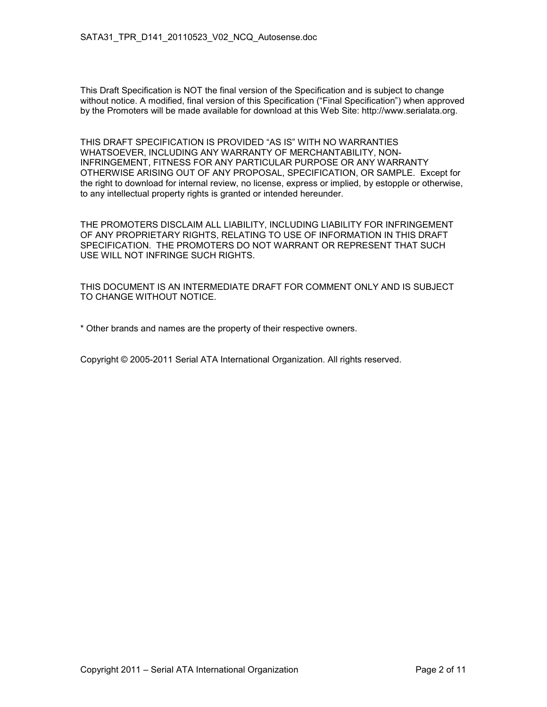This Draft Specification is NOT the final version of the Specification and is subject to change without notice. A modified, final version of this Specification ("Final Specification") when approved by the Promoters will be made available for download at this Web Site: http://www.serialata.org.

THIS DRAFT SPECIFICATION IS PROVIDED "AS IS" WITH NO WARRANTIES WHATSOEVER, INCLUDING ANY WARRANTY OF MERCHANTABILITY, NON-INFRINGEMENT, FITNESS FOR ANY PARTICULAR PURPOSE OR ANY WARRANTY OTHERWISE ARISING OUT OF ANY PROPOSAL, SPECIFICATION, OR SAMPLE. Except for the right to download for internal review, no license, express or implied, by estopple or otherwise, to any intellectual property rights is granted or intended hereunder.

THE PROMOTERS DISCLAIM ALL LIABILITY, INCLUDING LIABILITY FOR INFRINGEMENT OF ANY PROPRIETARY RIGHTS, RELATING TO USE OF INFORMATION IN THIS DRAFT SPECIFICATION. THE PROMOTERS DO NOT WARRANT OR REPRESENT THAT SUCH USE WILL NOT INFRINGE SUCH RIGHTS.

THIS DOCUMENT IS AN INTERMEDIATE DRAFT FOR COMMENT ONLY AND IS SUBJECT TO CHANGE WITHOUT NOTICE.

\* Other brands and names are the property of their respective owners.

Copyright © 2005-2011 Serial ATA International Organization. All rights reserved.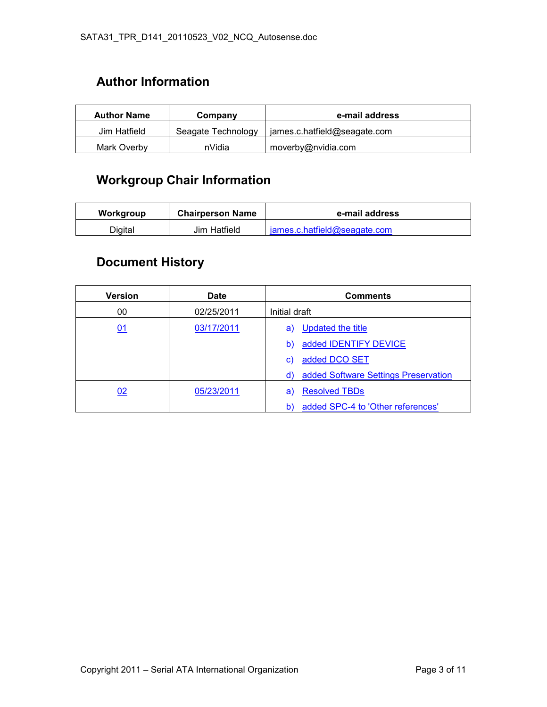## **Author Information**

| <b>Author Name</b> | Company            | e-mail address               |  |  |  |  |
|--------------------|--------------------|------------------------------|--|--|--|--|
| Jim Hatfield       | Seagate Technology | james.c.hatfield@seagate.com |  |  |  |  |
| Mark Overby        | nVidia             | moverby@nvidia.com           |  |  |  |  |

## **Workgroup Chair Information**

| Workgroup | <b>Chairperson Name</b> | e-mail address               |  |  |  |  |
|-----------|-------------------------|------------------------------|--|--|--|--|
| Digital   | Jim Hatfield            | james.c.hatfield@seagate.com |  |  |  |  |

## **Document History**

| <b>Version</b> | <b>Date</b> | <b>Comments</b>                            |  |  |  |  |
|----------------|-------------|--------------------------------------------|--|--|--|--|
| 00             | 02/25/2011  | Initial draft                              |  |  |  |  |
| 01             | 03/17/2011  | Updated the title<br>a)                    |  |  |  |  |
|                |             | added IDENTIFY DEVICE<br>b)                |  |  |  |  |
|                |             | added DCO SET<br>C)                        |  |  |  |  |
|                |             | added Software Settings Preservation<br>d) |  |  |  |  |
| 02             | 05/23/2011  | <b>Resolved TBDs</b><br>a)                 |  |  |  |  |
|                |             | added SPC-4 to 'Other references'<br>b)    |  |  |  |  |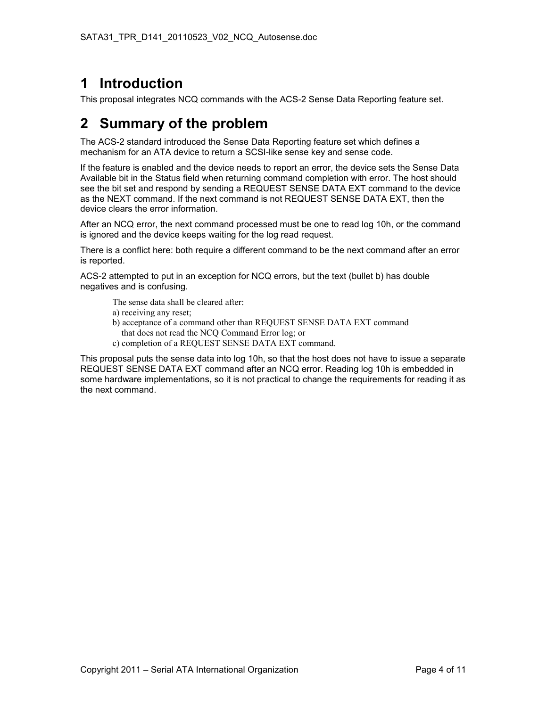## **1 Introduction**

This proposal integrates NCQ commands with the ACS-2 Sense Data Reporting feature set.

## **2 Summary of the problem**

The ACS-2 standard introduced the Sense Data Reporting feature set which defines a mechanism for an ATA device to return a SCSI-like sense key and sense code.

If the feature is enabled and the device needs to report an error, the device sets the Sense Data Available bit in the Status field when returning command completion with error. The host should see the bit set and respond by sending a REQUEST SENSE DATA EXT command to the device as the NEXT command. If the next command is not REQUEST SENSE DATA EXT, then the device clears the error information.

After an NCQ error, the next command processed must be one to read log 10h, or the command is ignored and the device keeps waiting for the log read request.

There is a conflict here: both require a different command to be the next command after an error is reported.

ACS-2 attempted to put in an exception for NCQ errors, but the text (bullet b) has double negatives and is confusing.

The sense data shall be cleared after:

- a) receiving any reset;
- b) acceptance of a command other than REQUEST SENSE DATA EXT command that does not read the NCQ Command Error log; or
- c) completion of a REQUEST SENSE DATA EXT command.

This proposal puts the sense data into log 10h, so that the host does not have to issue a separate REQUEST SENSE DATA EXT command after an NCQ error. Reading log 10h is embedded in some hardware implementations, so it is not practical to change the requirements for reading it as the next command.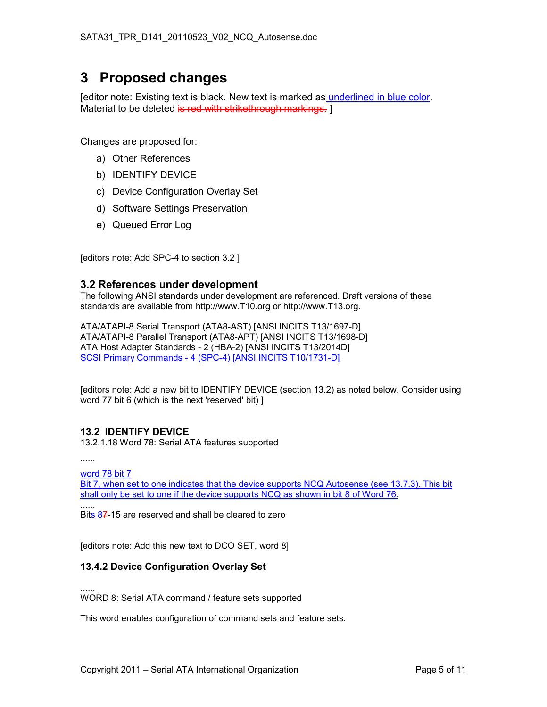## **3 Proposed changes**

[editor note: Existing text is black. New text is marked as underlined in blue color. Material to be deleted is red with strikethrough markings. 1

Changes are proposed for:

- a) Other References
- b) IDENTIFY DEVICE
- c) Device Configuration Overlay Set
- d) Software Settings Preservation
- e) Queued Error Log

[editors note: Add SPC-4 to section 3.2 ]

#### **3.2 References under development**

The following ANSI standards under development are referenced. Draft versions of these standards are available from http://www.T10.org or http://www.T13.org.

ATA/ATAPI-8 Serial Transport (ATA8-AST) [ANSI INCITS T13/1697-D] ATA/ATAPI-8 Parallel Transport (ATA8-APT) [ANSI INCITS T13/1698-D] ATA Host Adapter Standards - 2 (HBA-2) [ANSI INCITS T13/2014D] SCSI Primary Commands - 4 (SPC-4) [ANSI INCITS T10/1731-D]

[editors note: Add a new bit to IDENTIFY DEVICE (section 13.2) as noted below. Consider using word 77 bit 6 (which is the next 'reserved' bit) ]

#### **13.2 IDENTIFY DEVICE**

13.2.1.18 Word 78: Serial ATA features supported

......

word 78 bit 7

Bit 7, when set to one indicates that the device supports NCQ Autosense (see 13.7.3). This bit shall only be set to one if the device supports NCQ as shown in bit 8 of Word 76. ......

Bits 87-15 are reserved and shall be cleared to zero

[editors note: Add this new text to DCO SET, word 8]

#### **13.4.2 Device Configuration Overlay Set**

...... WORD 8: Serial ATA command / feature sets supported

This word enables configuration of command sets and feature sets.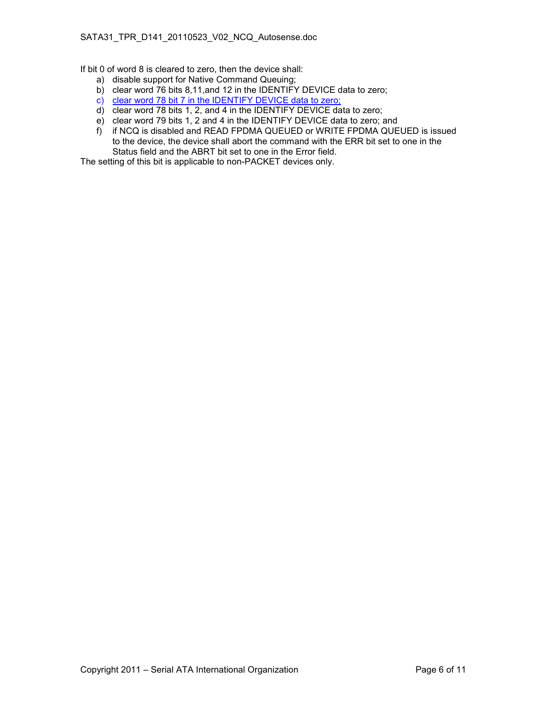If bit 0 of word 8 is cleared to zero, then the device shall:

- a) disable support for Native Command Queuing;
- b) clear word 76 bits 8,11,and 12 in the IDENTIFY DEVICE data to zero;
- c) clear word 78 bit 7 in the IDENTIFY DEVICE data to zero;
- d) clear word 78 bits 1, 2, and 4 in the IDENTIFY DEVICE data to zero;
- e) clear word 79 bits 1, 2 and 4 in the IDENTIFY DEVICE data to zero; and
- f) if NCQ is disabled and READ FPDMA QUEUED or WRITE FPDMA QUEUED is issued to the device, the device shall abort the command with the ERR bit set to one in the Status field and the ABRT bit set to one in the Error field.

The setting of this bit is applicable to non-PACKET devices only.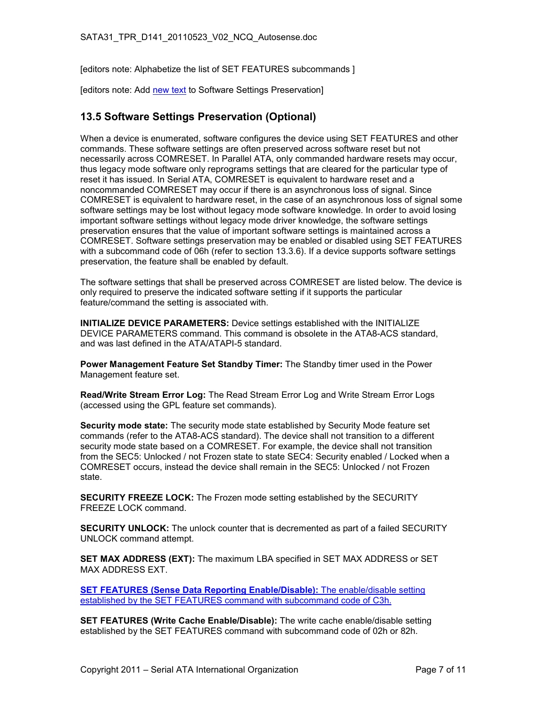[editors note: Alphabetize the list of SET FEATURES subcommands ]

[editors note: Add new text to Software Settings Preservation]

#### **13.5 Software Settings Preservation (Optional)**

When a device is enumerated, software configures the device using SET FEATURES and other commands. These software settings are often preserved across software reset but not necessarily across COMRESET. In Parallel ATA, only commanded hardware resets may occur, thus legacy mode software only reprograms settings that are cleared for the particular type of reset it has issued. In Serial ATA, COMRESET is equivalent to hardware reset and a noncommanded COMRESET may occur if there is an asynchronous loss of signal. Since COMRESET is equivalent to hardware reset, in the case of an asynchronous loss of signal some software settings may be lost without legacy mode software knowledge. In order to avoid losing important software settings without legacy mode driver knowledge, the software settings preservation ensures that the value of important software settings is maintained across a COMRESET. Software settings preservation may be enabled or disabled using SET FEATURES with a subcommand code of 06h (refer to section 13.3.6). If a device supports software settings preservation, the feature shall be enabled by default.

The software settings that shall be preserved across COMRESET are listed below. The device is only required to preserve the indicated software setting if it supports the particular feature/command the setting is associated with.

**INITIALIZE DEVICE PARAMETERS:** Device settings established with the INITIALIZE DEVICE PARAMETERS command. This command is obsolete in the ATA8-ACS standard, and was last defined in the ATA/ATAPI-5 standard.

**Power Management Feature Set Standby Timer:** The Standby timer used in the Power Management feature set.

**Read/Write Stream Error Log:** The Read Stream Error Log and Write Stream Error Logs (accessed using the GPL feature set commands).

**Security mode state:** The security mode state established by Security Mode feature set commands (refer to the ATA8-ACS standard). The device shall not transition to a different security mode state based on a COMRESET. For example, the device shall not transition from the SEC5: Unlocked / not Frozen state to state SEC4: Security enabled / Locked when a COMRESET occurs, instead the device shall remain in the SEC5: Unlocked / not Frozen state.

**SECURITY FREEZE LOCK:** The Frozen mode setting established by the SECURITY FREEZE LOCK command.

**SECURITY UNLOCK:** The unlock counter that is decremented as part of a failed SECURITY UNLOCK command attempt.

**SET MAX ADDRESS (EXT):** The maximum LBA specified in SET MAX ADDRESS or SET MAX ADDRESS EXT.

**SET FEATURES (Sense Data Reporting Enable/Disable):** The enable/disable setting established by the SET FEATURES command with subcommand code of C3h.

**SET FEATURES (Write Cache Enable/Disable):** The write cache enable/disable setting established by the SET FEATURES command with subcommand code of 02h or 82h.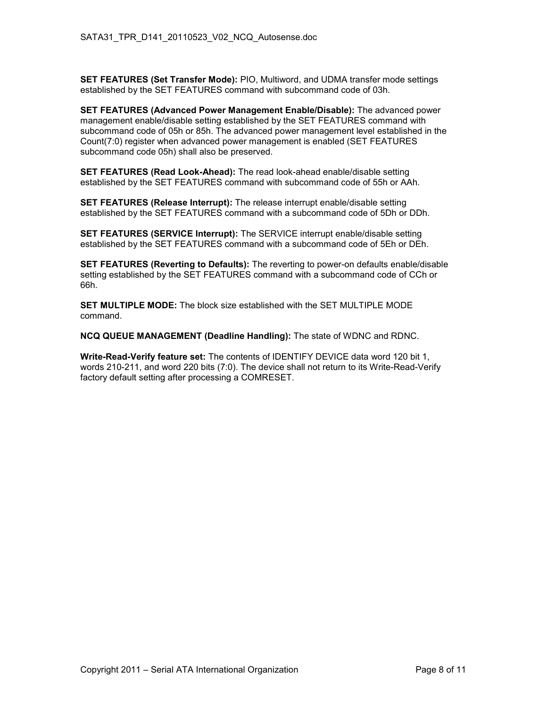**SET FEATURES (Set Transfer Mode):** PIO, Multiword, and UDMA transfer mode settings established by the SET FEATURES command with subcommand code of 03h.

**SET FEATURES (Advanced Power Management Enable/Disable):** The advanced power management enable/disable setting established by the SET FEATURES command with subcommand code of 05h or 85h. The advanced power management level established in the Count(7:0) register when advanced power management is enabled (SET FEATURES subcommand code 05h) shall also be preserved.

**SET FEATURES (Read Look-Ahead):** The read look-ahead enable/disable setting established by the SET FEATURES command with subcommand code of 55h or AAh.

**SET FEATURES (Release Interrupt):** The release interrupt enable/disable setting established by the SET FEATURES command with a subcommand code of 5Dh or DDh.

**SET FEATURES (SERVICE Interrupt):** The SERVICE interrupt enable/disable setting established by the SET FEATURES command with a subcommand code of 5Eh or DEh.

**SET FEATURES (Reverting to Defaults):** The reverting to power-on defaults enable/disable setting established by the SET FEATURES command with a subcommand code of CCh or 66h.

**SET MULTIPLE MODE:** The block size established with the SET MULTIPLE MODE command.

**NCQ QUEUE MANAGEMENT (Deadline Handling):** The state of WDNC and RDNC.

**Write-Read-Verify feature set:** The contents of IDENTIFY DEVICE data word 120 bit 1, words 210-211, and word 220 bits (7:0). The device shall not return to its Write-Read-Verify factory default setting after processing a COMRESET.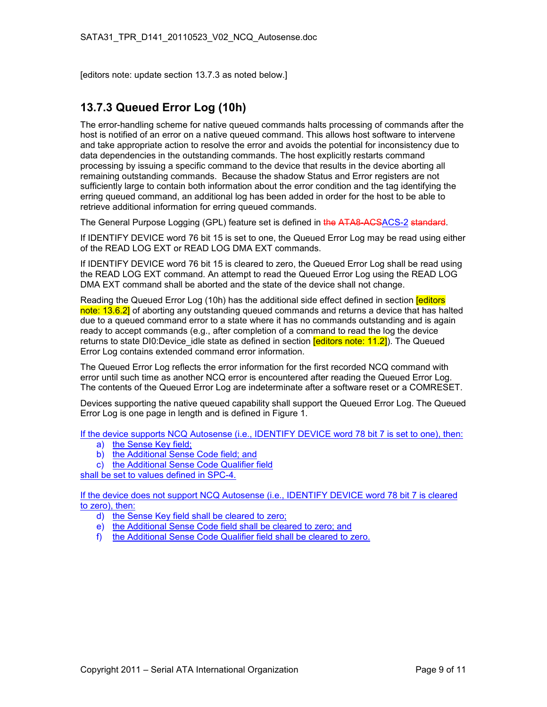[editors note: update section 13.7.3 as noted below.]

#### **13.7.3 Queued Error Log (10h)**

The error-handling scheme for native queued commands halts processing of commands after the host is notified of an error on a native queued command. This allows host software to intervene and take appropriate action to resolve the error and avoids the potential for inconsistency due to data dependencies in the outstanding commands. The host explicitly restarts command processing by issuing a specific command to the device that results in the device aborting all remaining outstanding commands. Because the shadow Status and Error registers are not sufficiently large to contain both information about the error condition and the tag identifying the erring queued command, an additional log has been added in order for the host to be able to retrieve additional information for erring queued commands.

The General Purpose Logging (GPL) feature set is defined in the ATA8-ACSACS-2 standard.

If IDENTIFY DEVICE word 76 bit 15 is set to one, the Queued Error Log may be read using either of the READ LOG EXT or READ LOG DMA EXT commands.

If IDENTIFY DEVICE word 76 bit 15 is cleared to zero, the Queued Error Log shall be read using the READ LOG EXT command. An attempt to read the Queued Error Log using the READ LOG DMA EXT command shall be aborted and the state of the device shall not change.

Reading the Queued Error Log (10h) has the additional side effect defined in section **[editors**] note: 13.6.2] of aborting any outstanding queued commands and returns a device that has halted due to a queued command error to a state where it has no commands outstanding and is again ready to accept commands (e.g., after completion of a command to read the log the device returns to state DI0:Device idle state as defined in section **[editors note: 11.2]**). The Queued Error Log contains extended command error information.

The Queued Error Log reflects the error information for the first recorded NCQ command with error until such time as another NCQ error is encountered after reading the Queued Error Log. The contents of the Queued Error Log are indeterminate after a software reset or a COMRESET.

Devices supporting the native queued capability shall support the Queued Error Log. The Queued Error Log is one page in length and is defined in [Figure 1.](#page-9-0)

If the device supports NCQ Autosense (i.e., IDENTIFY DEVICE word 78 bit 7 is set to one), then:

- a) the Sense Key field;
- b) the Additional Sense Code field; and
- c) the Additional Sense Code Qualifier field

shall be set to values defined in SPC-4.

If the device does not support NCQ Autosense (i.e., IDENTIFY DEVICE word 78 bit 7 is cleared to zero), then:

- d) the Sense Key field shall be cleared to zero;
- e) the Additional Sense Code field shall be cleared to zero; and
- f) the Additional Sense Code Qualifier field shall be cleared to zero.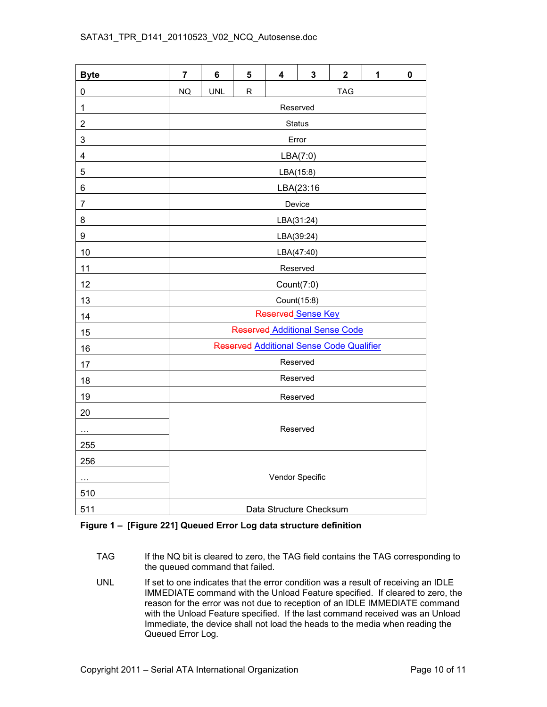#### <span id="page-9-0"></span>SATA31\_TPR\_D141\_20110523\_V02\_NCQ\_Autosense.doc

| <b>Byte</b>             | $\overline{7}$                           | 6          | 5 | 4             | $\mathbf{3}$ | $\overline{\mathbf{2}}$ | 1 | $\mathbf 0$ |  |
|-------------------------|------------------------------------------|------------|---|---------------|--------------|-------------------------|---|-------------|--|
| 0                       | <b>NQ</b>                                | <b>UNL</b> | R | <b>TAG</b>    |              |                         |   |             |  |
| $\mathbf 1$             | Reserved                                 |            |   |               |              |                         |   |             |  |
| $\overline{\mathbf{c}}$ |                                          |            |   | <b>Status</b> |              |                         |   |             |  |
| 3                       |                                          |            |   | Error         |              |                         |   |             |  |
| 4                       |                                          |            |   |               | LBA(7:0)     |                         |   |             |  |
| 5                       | LBA(15:8)                                |            |   |               |              |                         |   |             |  |
| 6                       | LBA(23:16                                |            |   |               |              |                         |   |             |  |
| 7                       | Device                                   |            |   |               |              |                         |   |             |  |
| 8                       | LBA(31:24)                               |            |   |               |              |                         |   |             |  |
| 9                       | LBA(39:24)                               |            |   |               |              |                         |   |             |  |
| 10                      | LBA(47:40)                               |            |   |               |              |                         |   |             |  |
| 11                      | Reserved                                 |            |   |               |              |                         |   |             |  |
| 12                      | Count(7:0)                               |            |   |               |              |                         |   |             |  |
| 13                      | Count(15:8)                              |            |   |               |              |                         |   |             |  |
| 14                      | Reserved Sense Key                       |            |   |               |              |                         |   |             |  |
| 15                      | Reserved Additional Sense Code           |            |   |               |              |                         |   |             |  |
| 16                      | Reserved Additional Sense Code Qualifier |            |   |               |              |                         |   |             |  |
| 17                      | Reserved                                 |            |   |               |              |                         |   |             |  |
| 18                      | Reserved                                 |            |   |               |              |                         |   |             |  |
| 19                      | Reserved                                 |            |   |               |              |                         |   |             |  |
| 20                      |                                          |            |   |               |              |                         |   |             |  |
| $\cdots$                | Reserved                                 |            |   |               |              |                         |   |             |  |
| 255                     |                                          |            |   |               |              |                         |   |             |  |
| 256                     |                                          |            |   |               |              |                         |   |             |  |
| $\ldots$                | Vendor Specific                          |            |   |               |              |                         |   |             |  |
| 510                     |                                          |            |   |               |              |                         |   |             |  |
| 511                     | Data Structure Checksum                  |            |   |               |              |                         |   |             |  |

#### **Figure 1 – [Figure 221] Queued Error Log data structure definition**

- TAG If the NQ bit is cleared to zero, the TAG field contains the TAG corresponding to the queued command that failed.
- UNL If set to one indicates that the error condition was a result of receiving an IDLE IMMEDIATE command with the Unload Feature specified. If cleared to zero, the reason for the error was not due to reception of an IDLE IMMEDIATE command with the Unload Feature specified. If the last command received was an Unload Immediate, the device shall not load the heads to the media when reading the Queued Error Log.